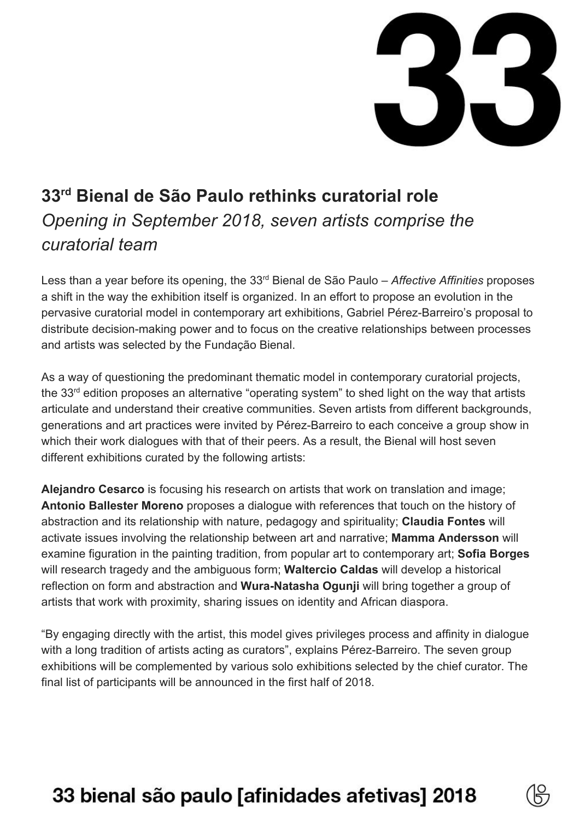

### **33 rd Bienal de São Paulo rethinks curatorial role** *Opening in September 2018, seven artists comprise the curatorial team*

Less than a year before its opening, the 33<sup>rd</sup> Bienal de São Paulo – *Affective Affinities* proposes a shift in the way the exhibition itself is organized. In an effort to propose an evolution in the pervasive curatorial model in contemporary art exhibitions, Gabriel Pérez-Barreiro's proposal to distribute decision-making power and to focus on the creative relationships between processes and artists was selected by the Fundação Bienal.

As a way of questioning the predominant thematic model in contemporary curatorial projects, the 33<sup>rd</sup> edition proposes an alternative "operating system" to shed light on the way that artists articulate and understand their creative communities. Seven artists from different backgrounds, generations and art practices were invited by Pérez-Barreiro to each conceive a group show in which their work dialogues with that of their peers. As a result, the Bienal will host seven different exhibitions curated by the following artists:

**Alejandro Cesarco** is focusing his research on artists that work on translation and image; **Antonio Ballester Moreno** proposes a dialogue with references that touch on the history of abstraction and its relationship with nature, pedagogy and spirituality; **Claudia Fontes** will activate issues involving the relationship between art and narrative; **Mamma Andersson** will examine figuration in the painting tradition, from popular art to contemporary art; **Sofia Borges** will research tragedy and the ambiguous form; **Waltercio Caldas** will develop a historical reflection on form and abstraction and **Wura-Natasha Ogunji** will bring together a group of artists that work with proximity, sharing issues on identity and African diaspora.

"By engaging directly with the artist, this model gives privileges process and affinity in dialogue with a long tradition of artists acting as curators", explains Pérez-Barreiro. The seven group exhibitions will be complemented by various solo exhibitions selected by the chief curator. The final list of participants will be announced in the first half of 2018.

# 33 bienal são paulo [afinidades afetivas] 2018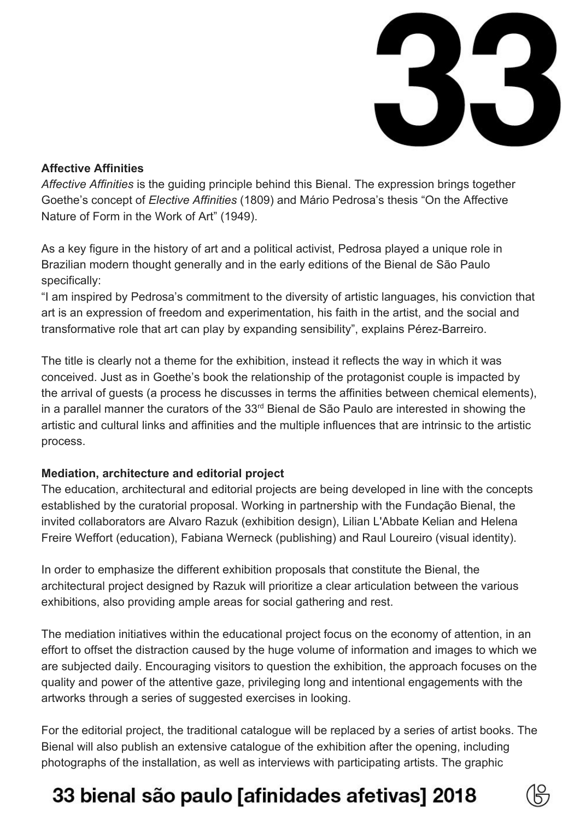

#### **Affective Affinities**

*Affective Affinities* is the guiding principle behind this Bienal. The expression brings together Goethe's concept of *Elective Affinities* (1809) and Mário Pedrosa's thesis "On the Affective Nature of Form in the Work of Art" (1949).

As a key figure in the history of art and a political activist, Pedrosa played a unique role in Brazilian modern thought generally and in the early editions of the Bienal de São Paulo specifically:

"I am inspired by Pedrosa's commitment to the diversity of artistic languages, his conviction that art is an expression of freedom and experimentation, his faith in the artist, and the social and transformative role that art can play by expanding sensibility", explains Pérez-Barreiro.

The title is clearly not a theme for the exhibition, instead it reflects the way in which it was conceived. Just as in Goethe's book the relationship of the protagonist couple is impacted by the arrival of guests (a process he discusses in terms the affinities between chemical elements), in a parallel manner the curators of the 33<sup>rd</sup> Bienal de São Paulo are interested in showing the artistic and cultural links and affinities and the multiple influences that are intrinsic to the artistic process.

#### **Mediation, architecture and editorial project**

The education, architectural and editorial projects are being developed in line with the concepts established by the curatorial proposal. Working in partnership with the Fundação Bienal, the invited collaborators are Alvaro Razuk (exhibition design), Lilian L'Abbate Kelian and Helena Freire Weffort (education), Fabiana Werneck (publishing) and Raul Loureiro (visual identity).

In order to emphasize the different exhibition proposals that constitute the Bienal, the architectural project designed by Razuk will prioritize a clear articulation between the various exhibitions, also providing ample areas for social gathering and rest.

The mediation initiatives within the educational project focus on the economy of attention, in an effort to offset the distraction caused by the huge volume of information and images to which we are subjected daily. Encouraging visitors to question the exhibition, the approach focuses on the quality and power of the attentive gaze, privileging long and intentional engagements with the artworks through a series of suggested exercises in looking.

For the editorial project, the traditional catalogue will be replaced by a series of artist books. The Bienal will also publish an extensive catalogue of the exhibition after the opening, including photographs of the installation, as well as interviews with participating artists. The graphic

## 33 bienal são paulo [afinidades afetivas] 2018

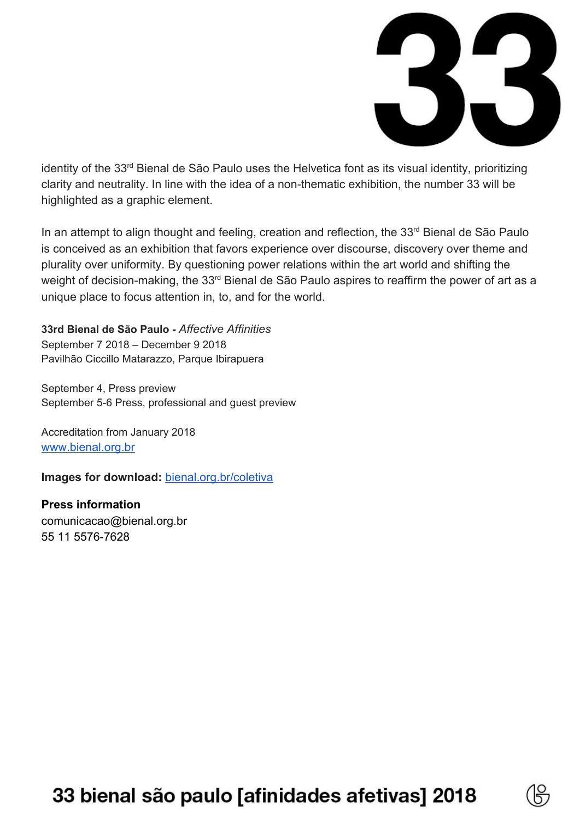

identity of the 33<sup>rd</sup> Bienal de São Paulo uses the Helvetica font as its visual identity, prioritizing clarity and neutrality. In line with the idea of a non-thematic exhibition, the number 33 will be highlighted as a graphic element.

In an attempt to align thought and feeling, creation and reflection, the 33<sup>rd</sup> Bienal de São Paulo is conceived as an exhibition that favors experience over discourse, discovery over theme and plurality over uniformity. By questioning power relations within the art world and shifting the weight of decision-making, the 33<sup>rd</sup> Bienal de São Paulo aspires to reaffirm the power of art as a unique place to focus attention in, to, and for the world.

**33rd Bienal de São Paulo -** *Affective Affinities* September 7 2018 – December 9 2018 Pavilhão Ciccillo Matarazzo, Parque Ibirapuera

September 4, Press preview September 5-6 Press, professional and guest preview

Accreditation from January 2018 [www.bienal.org.br](http://www.bienal.org.br/)

**Images for download:** [bienal.org.br/coletiva](http://bienal.org.br/coletiva)

**Press information** comunicacao@bienal.org.br 55 11 5576-7628